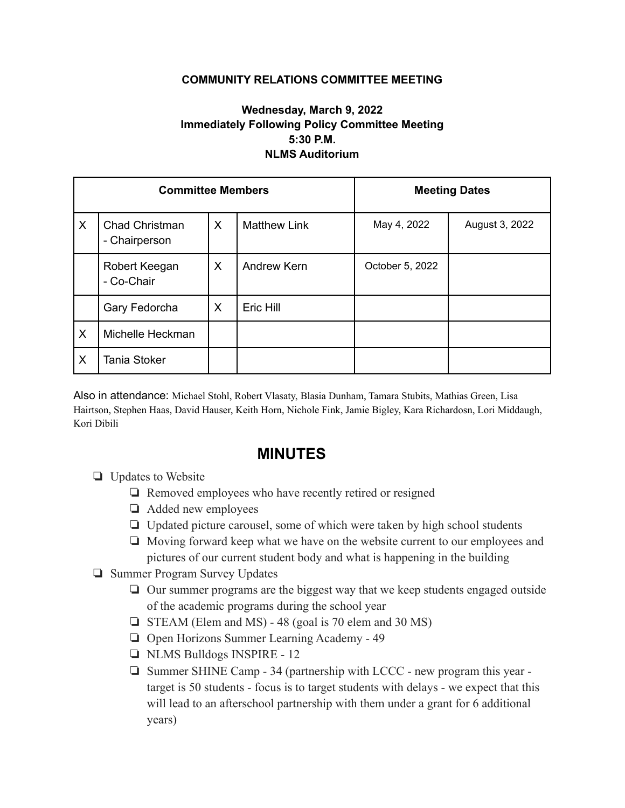## **COMMUNITY RELATIONS COMMITTEE MEETING**

## **Wednesday, March 9, 2022 Immediately Following Policy Committee Meeting 5:30 P.M. NLMS Auditorium**

| <b>Committee Members</b> |                                        |          |                     | <b>Meeting Dates</b> |                |
|--------------------------|----------------------------------------|----------|---------------------|----------------------|----------------|
| X                        | <b>Chad Christman</b><br>- Chairperson | $\times$ | <b>Matthew Link</b> | May 4, 2022          | August 3, 2022 |
|                          | Robert Keegan<br>- Co-Chair            | X        | Andrew Kern         | October 5, 2022      |                |
|                          | Gary Fedorcha                          | X        | Eric Hill           |                      |                |
| X                        | Michelle Heckman                       |          |                     |                      |                |
| X                        | <b>Tania Stoker</b>                    |          |                     |                      |                |

Also in attendance: Michael Stohl, Robert Vlasaty, Blasia Dunham, Tamara Stubits, Mathias Green, Lisa Hairtson, Stephen Haas, David Hauser, Keith Horn, Nichole Fink, Jamie Bigley, Kara Richardosn, Lori Middaugh, Kori Dibili

## **MINUTES**

- ❏ Updates to Website
	- ❏ Removed employees who have recently retired or resigned
	- ❏ Added new employees
	- ❏ Updated picture carousel, some of which were taken by high school students
	- ❏ Moving forward keep what we have on the website current to our employees and pictures of our current student body and what is happening in the building
- ❏ Summer Program Survey Updates
	- ❏ Our summer programs are the biggest way that we keep students engaged outside of the academic programs during the school year
	- ❏ STEAM (Elem and MS) 48 (goal is 70 elem and 30 MS)
	- ❏ Open Horizons Summer Learning Academy 49
	- ❏ NLMS Bulldogs INSPIRE 12
	- ❏ Summer SHINE Camp 34 (partnership with LCCC new program this year target is 50 students - focus is to target students with delays - we expect that this will lead to an afterschool partnership with them under a grant for 6 additional years)